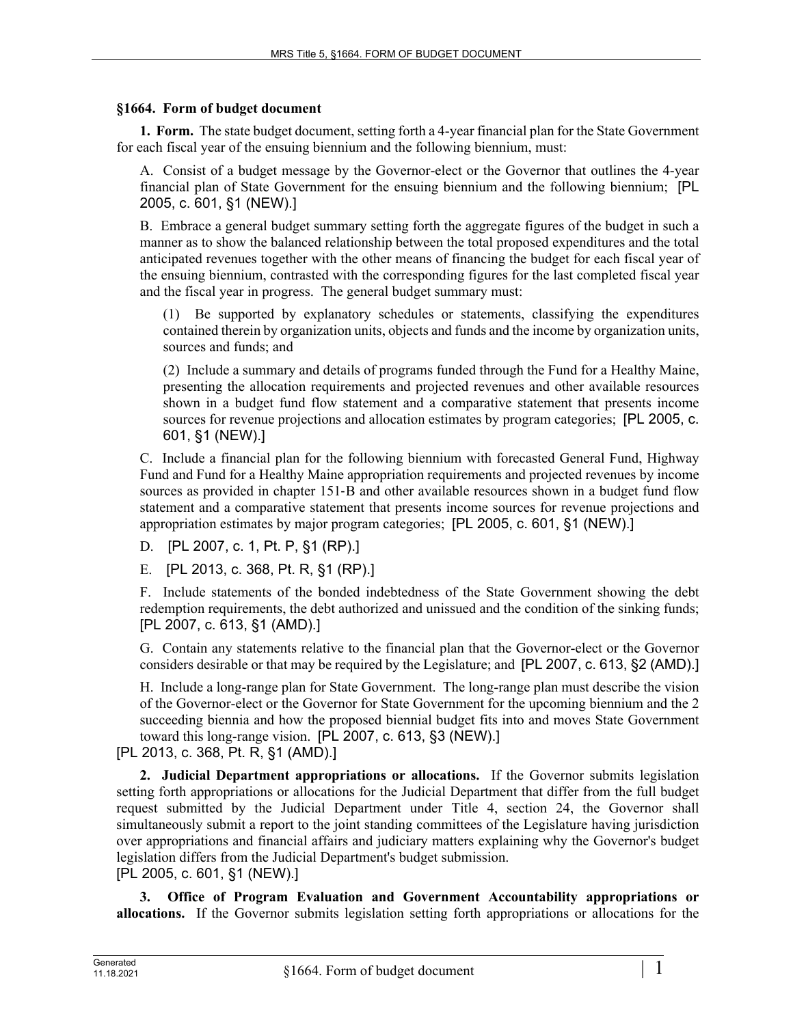## **§1664. Form of budget document**

**1. Form.** The state budget document, setting forth a 4-year financial plan for the State Government for each fiscal year of the ensuing biennium and the following biennium, must:

A. Consist of a budget message by the Governor-elect or the Governor that outlines the 4-year financial plan of State Government for the ensuing biennium and the following biennium; [PL 2005, c. 601, §1 (NEW).]

B. Embrace a general budget summary setting forth the aggregate figures of the budget in such a manner as to show the balanced relationship between the total proposed expenditures and the total anticipated revenues together with the other means of financing the budget for each fiscal year of the ensuing biennium, contrasted with the corresponding figures for the last completed fiscal year and the fiscal year in progress. The general budget summary must:

(1) Be supported by explanatory schedules or statements, classifying the expenditures contained therein by organization units, objects and funds and the income by organization units, sources and funds; and

(2) Include a summary and details of programs funded through the Fund for a Healthy Maine, presenting the allocation requirements and projected revenues and other available resources shown in a budget fund flow statement and a comparative statement that presents income sources for revenue projections and allocation estimates by program categories; [PL 2005, c. 601, §1 (NEW).]

C. Include a financial plan for the following biennium with forecasted General Fund, Highway Fund and Fund for a Healthy Maine appropriation requirements and projected revenues by income sources as provided in chapter 151–B and other available resources shown in a budget fund flow statement and a comparative statement that presents income sources for revenue projections and appropriation estimates by major program categories; [PL 2005, c. 601, §1 (NEW).]

D. [PL 2007, c. 1, Pt. P, §1 (RP).]

E. [PL 2013, c. 368, Pt. R, §1 (RP).]

F. Include statements of the bonded indebtedness of the State Government showing the debt redemption requirements, the debt authorized and unissued and the condition of the sinking funds; [PL 2007, c. 613, §1 (AMD).]

G. Contain any statements relative to the financial plan that the Governor-elect or the Governor considers desirable or that may be required by the Legislature; and [PL 2007, c. 613, §2 (AMD).]

H. Include a long-range plan for State Government. The long-range plan must describe the vision of the Governor-elect or the Governor for State Government for the upcoming biennium and the 2 succeeding biennia and how the proposed biennial budget fits into and moves State Government toward this long-range vision. [PL 2007, c. 613, §3 (NEW).]

[PL 2013, c. 368, Pt. R, §1 (AMD).]

**2. Judicial Department appropriations or allocations.** If the Governor submits legislation setting forth appropriations or allocations for the Judicial Department that differ from the full budget request submitted by the Judicial Department under Title 4, section 24, the Governor shall simultaneously submit a report to the joint standing committees of the Legislature having jurisdiction over appropriations and financial affairs and judiciary matters explaining why the Governor's budget legislation differs from the Judicial Department's budget submission.

[PL 2005, c. 601, §1 (NEW).]

**3. Office of Program Evaluation and Government Accountability appropriations or allocations.** If the Governor submits legislation setting forth appropriations or allocations for the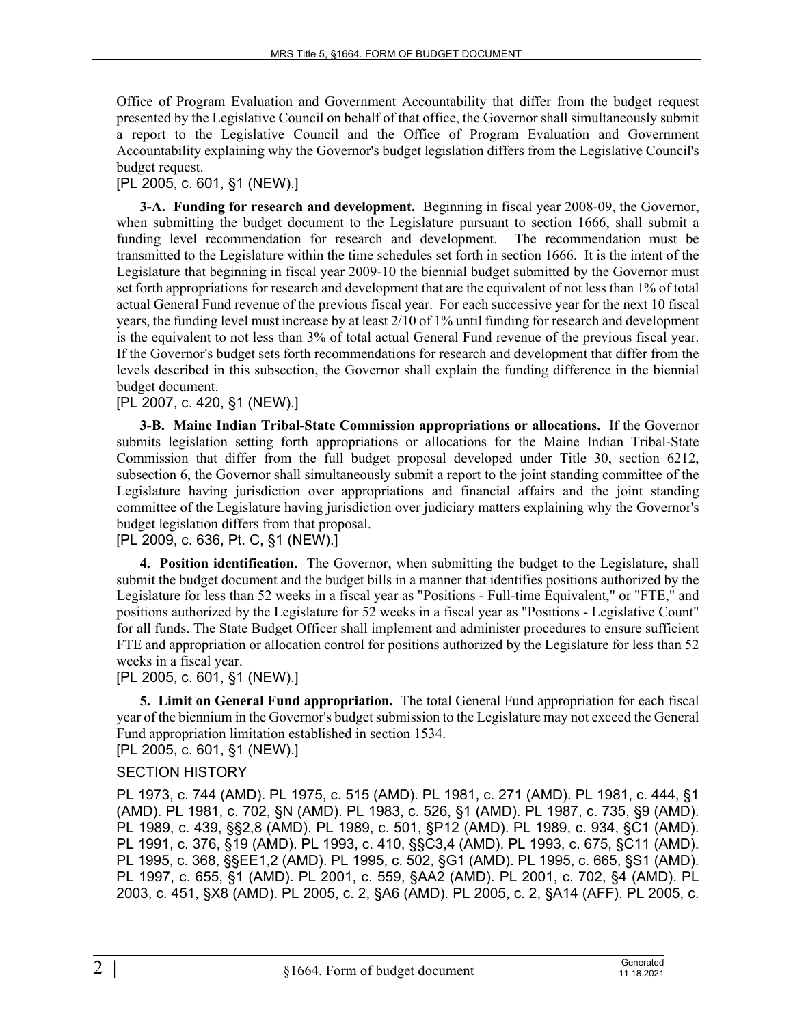Office of Program Evaluation and Government Accountability that differ from the budget request presented by the Legislative Council on behalf of that office, the Governor shall simultaneously submit a report to the Legislative Council and the Office of Program Evaluation and Government Accountability explaining why the Governor's budget legislation differs from the Legislative Council's budget request.

## [PL 2005, c. 601, §1 (NEW).]

**3-A. Funding for research and development.** Beginning in fiscal year 2008-09, the Governor, when submitting the budget document to the Legislature pursuant to section 1666, shall submit a funding level recommendation for research and development. The recommendation must be transmitted to the Legislature within the time schedules set forth in section 1666. It is the intent of the Legislature that beginning in fiscal year 2009-10 the biennial budget submitted by the Governor must set forth appropriations for research and development that are the equivalent of not less than 1% of total actual General Fund revenue of the previous fiscal year. For each successive year for the next 10 fiscal years, the funding level must increase by at least 2/10 of 1% until funding for research and development is the equivalent to not less than 3% of total actual General Fund revenue of the previous fiscal year. If the Governor's budget sets forth recommendations for research and development that differ from the levels described in this subsection, the Governor shall explain the funding difference in the biennial budget document.

## [PL 2007, c. 420, §1 (NEW).]

**3-B. Maine Indian Tribal-State Commission appropriations or allocations.** If the Governor submits legislation setting forth appropriations or allocations for the Maine Indian Tribal-State Commission that differ from the full budget proposal developed under Title 30, section 6212, subsection 6, the Governor shall simultaneously submit a report to the joint standing committee of the Legislature having jurisdiction over appropriations and financial affairs and the joint standing committee of the Legislature having jurisdiction over judiciary matters explaining why the Governor's budget legislation differs from that proposal.

[PL 2009, c. 636, Pt. C, §1 (NEW).]

**4. Position identification.** The Governor, when submitting the budget to the Legislature, shall submit the budget document and the budget bills in a manner that identifies positions authorized by the Legislature for less than 52 weeks in a fiscal year as "Positions - Full-time Equivalent," or "FTE," and positions authorized by the Legislature for 52 weeks in a fiscal year as "Positions - Legislative Count" for all funds. The State Budget Officer shall implement and administer procedures to ensure sufficient FTE and appropriation or allocation control for positions authorized by the Legislature for less than 52 weeks in a fiscal year.

#### [PL 2005, c. 601, §1 (NEW).]

**5. Limit on General Fund appropriation.** The total General Fund appropriation for each fiscal year of the biennium in the Governor's budget submission to the Legislature may not exceed the General Fund appropriation limitation established in section 1534.

[PL 2005, c. 601, §1 (NEW).]

# SECTION HISTORY

PL 1973, c. 744 (AMD). PL 1975, c. 515 (AMD). PL 1981, c. 271 (AMD). PL 1981, c. 444, §1 (AMD). PL 1981, c. 702, §N (AMD). PL 1983, c. 526, §1 (AMD). PL 1987, c. 735, §9 (AMD). PL 1989, c. 439, §§2,8 (AMD). PL 1989, c. 501, §P12 (AMD). PL 1989, c. 934, §C1 (AMD). PL 1991, c. 376, §19 (AMD). PL 1993, c. 410, §§C3,4 (AMD). PL 1993, c. 675, §C11 (AMD). PL 1995, c. 368, §§EE1,2 (AMD). PL 1995, c. 502, §G1 (AMD). PL 1995, c. 665, §S1 (AMD). PL 1997, c. 655, §1 (AMD). PL 2001, c. 559, §AA2 (AMD). PL 2001, c. 702, §4 (AMD). PL 2003, c. 451, §X8 (AMD). PL 2005, c. 2, §A6 (AMD). PL 2005, c. 2, §A14 (AFF). PL 2005, c.